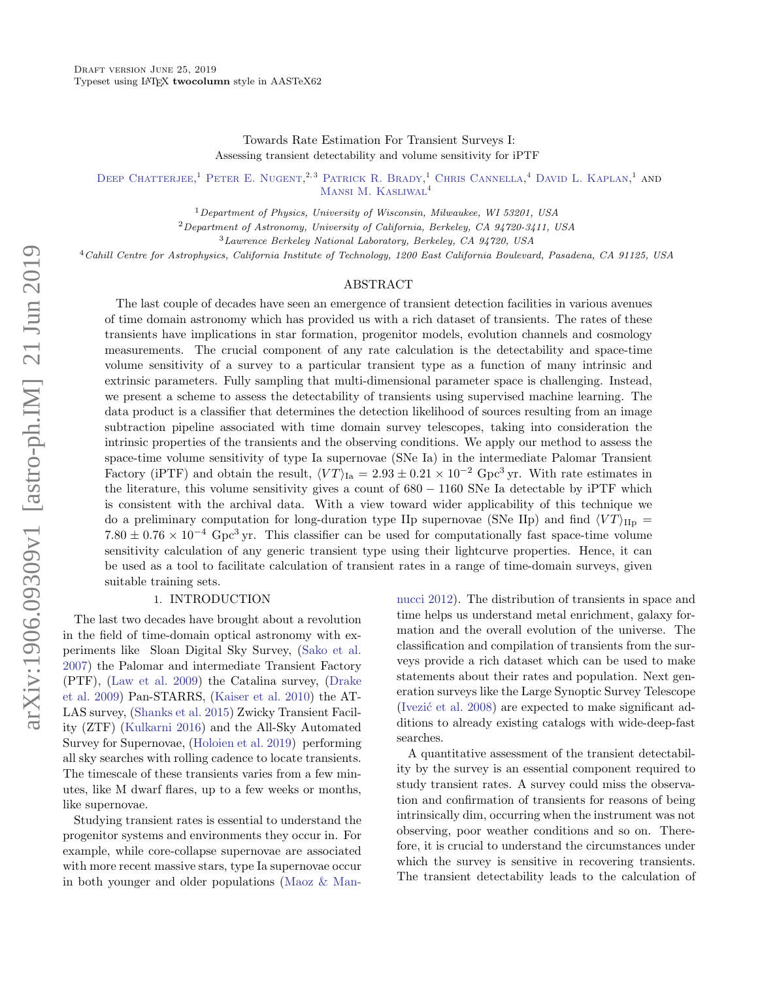Towards Rate Estimation For Transient Surveys I: Assessing transient detectability and volume sensitivity for iPTF

DEEP CHATTERJEE,<sup>1</sup> PETER E. NUGENT.<sup>2,3</sup> PATRICK R. BRADY,<sup>1</sup> CHRIS CANNELLA,<sup>4</sup> DAVID L. KAPLAN,<sup>1</sup> AND [Mansi M. Kasliwal](http://orcid.org/0000-0002-5619-4938)<sup>4</sup>

<sup>1</sup>Department of Physics, University of Wisconsin, Milwaukee, WI 53201, USA

<sup>2</sup>Department of Astronomy, University of California, Berkeley, CA 94720-3411, USA

<sup>3</sup>Lawrence Berkeley National Laboratory, Berkeley, CA 94720, USA

<sup>4</sup>Cahill Centre for Astrophysics, California Institute of Technology, 1200 East California Boulevard, Pasadena, CA 91125, USA

#### ABSTRACT

The last couple of decades have seen an emergence of transient detection facilities in various avenues of time domain astronomy which has provided us with a rich dataset of transients. The rates of these transients have implications in star formation, progenitor models, evolution channels and cosmology measurements. The crucial component of any rate calculation is the detectability and space-time volume sensitivity of a survey to a particular transient type as a function of many intrinsic and extrinsic parameters. Fully sampling that multi-dimensional parameter space is challenging. Instead, we present a scheme to assess the detectability of transients using supervised machine learning. The data product is a classifier that determines the detection likelihood of sources resulting from an image subtraction pipeline associated with time domain survey telescopes, taking into consideration the intrinsic properties of the transients and the observing conditions. We apply our method to assess the space-time volume sensitivity of type Ia supernovae (SNe Ia) in the intermediate Palomar Transient Factory (iPTF) and obtain the result,  $\langle VT \rangle_{\text{Ia}} = 2.93 \pm 0.21 \times 10^{-2} \text{ Gpc}^3 \text{ yr}$ . With rate estimates in the literature, this volume sensitivity gives a count of 680 − 1160 SNe Ia detectable by iPTF which is consistent with the archival data. With a view toward wider applicability of this technique we do a preliminary computation for long-duration type IIp supernovae (SNe IIp) and find  $\langle VT \rangle_{\text{IIp}} =$  $7.80 \pm 0.76 \times 10^{-4}$  Gpc<sup>3</sup> yr. This classifier can be used for computationally fast space-time volume sensitivity calculation of any generic transient type using their lightcurve properties. Hence, it can be used as a tool to facilitate calculation of transient rates in a range of time-domain surveys, given suitable training sets.

# 1. INTRODUCTION

The last two decades have brought about a revolution in the field of time-domain optical astronomy with experiments like Sloan Digital Sky Survey, [\(Sako et al.](#page-12-0) [2007\)](#page-12-0) the Palomar and intermediate Transient Factory (PTF), [\(Law et al.](#page-12-1) [2009\)](#page-12-1) the Catalina survey, [\(Drake](#page-11-0) [et al.](#page-11-0) [2009\)](#page-11-0) Pan-STARRS, [\(Kaiser et al.](#page-12-2) [2010\)](#page-12-2) the AT-LAS survey, [\(Shanks et al.](#page-12-3) [2015\)](#page-12-3) Zwicky Transient Facility (ZTF) [\(Kulkarni](#page-12-4) [2016\)](#page-12-4) and the All-Sky Automated Survey for Supernovae, [\(Holoien et al.](#page-12-5) [2019\)](#page-12-5) performing all sky searches with rolling cadence to locate transients. The timescale of these transients varies from a few minutes, like M dwarf flares, up to a few weeks or months, like supernovae.

Studying transient rates is essential to understand the progenitor systems and environments they occur in. For example, while core-collapse supernovae are associated with more recent massive stars, type Ia supernovae occur in both younger and older populations [\(Maoz & Man-](#page-12-6) [nucci](#page-12-6) [2012\)](#page-12-6). The distribution of transients in space and time helps us understand metal enrichment, galaxy formation and the overall evolution of the universe. The classification and compilation of transients from the surveys provide a rich dataset which can be used to make statements about their rates and population. Next generation surveys like the Large Synoptic Survey Telescope (Ivezić et al.  $2008$ ) are expected to make significant additions to already existing catalogs with wide-deep-fast searches.

A quantitative assessment of the transient detectability by the survey is an essential component required to study transient rates. A survey could miss the observation and confirmation of transients for reasons of being intrinsically dim, occurring when the instrument was not observing, poor weather conditions and so on. Therefore, it is crucial to understand the circumstances under which the survey is sensitive in recovering transients. The transient detectability leads to the calculation of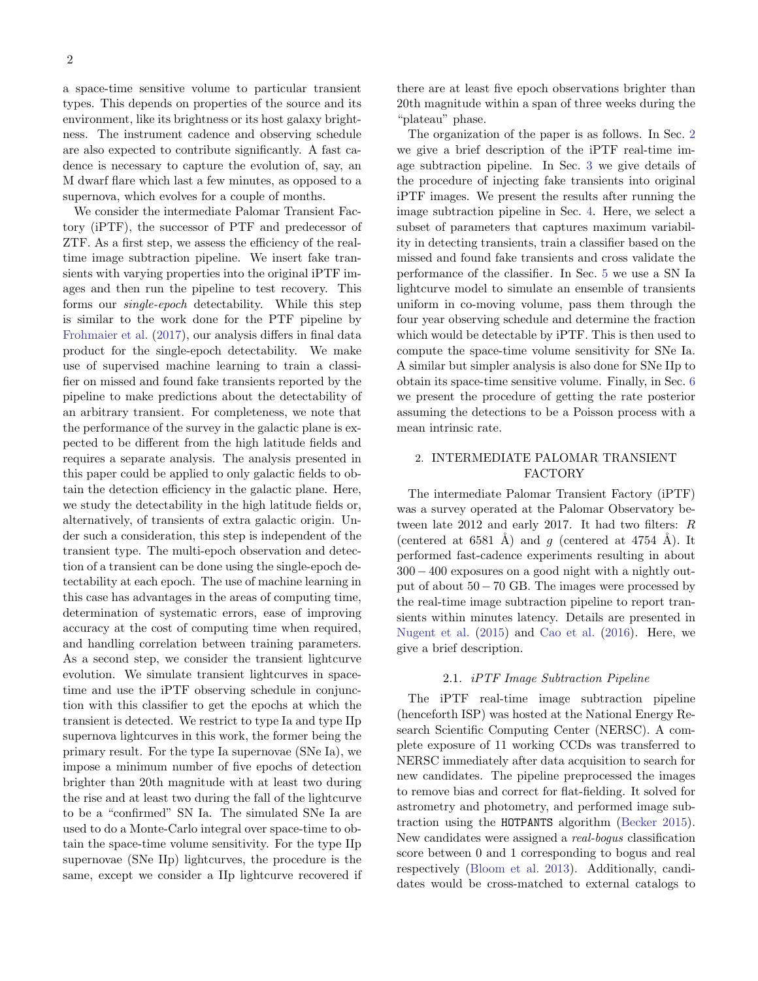a space-time sensitive volume to particular transient types. This depends on properties of the source and its environment, like its brightness or its host galaxy brightness. The instrument cadence and observing schedule are also expected to contribute significantly. A fast cadence is necessary to capture the evolution of, say, an M dwarf flare which last a few minutes, as opposed to a supernova, which evolves for a couple of months.

We consider the intermediate Palomar Transient Factory (iPTF), the successor of PTF and predecessor of ZTF. As a first step, we assess the efficiency of the realtime image subtraction pipeline. We insert fake transients with varying properties into the original iPTF images and then run the pipeline to test recovery. This forms our *single-epoch* detectability. While this step is similar to the work done for the PTF pipeline by [Frohmaier et al.](#page-12-8) [\(2017\)](#page-12-8), our analysis differs in final data product for the single-epoch detectability. We make use of supervised machine learning to train a classifier on missed and found fake transients reported by the pipeline to make predictions about the detectability of an arbitrary transient. For completeness, we note that the performance of the survey in the galactic plane is expected to be different from the high latitude fields and requires a separate analysis. The analysis presented in this paper could be applied to only galactic fields to obtain the detection efficiency in the galactic plane. Here, we study the detectability in the high latitude fields or, alternatively, of transients of extra galactic origin. Under such a consideration, this step is independent of the transient type. The multi-epoch observation and detection of a transient can be done using the single-epoch detectability at each epoch. The use of machine learning in this case has advantages in the areas of computing time, determination of systematic errors, ease of improving accuracy at the cost of computing time when required, and handling correlation between training parameters. As a second step, we consider the transient lightcurve evolution. We simulate transient lightcurves in spacetime and use the iPTF observing schedule in conjunction with this classifier to get the epochs at which the transient is detected. We restrict to type Ia and type IIp supernova lightcurves in this work, the former being the primary result. For the type Ia supernovae (SNe Ia), we impose a minimum number of five epochs of detection brighter than 20th magnitude with at least two during the rise and at least two during the fall of the lightcurve to be a "confirmed" SN Ia. The simulated SNe Ia are used to do a Monte-Carlo integral over space-time to obtain the space-time volume sensitivity. For the type IIp supernovae (SNe IIp) lightcurves, the procedure is the same, except we consider a IIp lightcurve recovered if there are at least five epoch observations brighter than 20th magnitude within a span of three weeks during the "plateau" phase.

The organization of the paper is as follows. In Sec. [2](#page-1-0) we give a brief description of the iPTF real-time image subtraction pipeline. In Sec. [3](#page-2-0) we give details of the procedure of injecting fake transients into original iPTF images. We present the results after running the image subtraction pipeline in Sec. [4.](#page-3-0) Here, we select a subset of parameters that captures maximum variability in detecting transients, train a classifier based on the missed and found fake transients and cross validate the performance of the classifier. In Sec. [5](#page-6-0) we use a SN Ia lightcurve model to simulate an ensemble of transients uniform in co-moving volume, pass them through the four year observing schedule and determine the fraction which would be detectable by iPTF. This is then used to compute the space-time volume sensitivity for SNe Ia. A similar but simpler analysis is also done for SNe IIp to obtain its space-time sensitive volume. Finally, in Sec. [6](#page-9-0) we present the procedure of getting the rate posterior assuming the detections to be a Poisson process with a mean intrinsic rate.

# <span id="page-1-0"></span>2. INTERMEDIATE PALOMAR TRANSIENT FACTORY

The intermediate Palomar Transient Factory (iPTF) was a survey operated at the Palomar Observatory between late 2012 and early 2017. It had two filters: R (centered at 6581 Å) and q (centered at 4754 Å). It performed fast-cadence experiments resulting in about 300 − 400 exposures on a good night with a nightly output of about  $50 - 70$  GB. The images were processed by the real-time image subtraction pipeline to report transients within minutes latency. Details are presented in [Nugent et al.](#page-12-9) [\(2015\)](#page-12-9) and [Cao et al.](#page-11-1) [\(2016\)](#page-11-1). Here, we give a brief description.

## 2.1. iPTF Image Subtraction Pipeline

The iPTF real-time image subtraction pipeline (henceforth ISP) was hosted at the National Energy Research Scientific Computing Center (NERSC). A complete exposure of 11 working CCDs was transferred to NERSC immediately after data acquisition to search for new candidates. The pipeline preprocessed the images to remove bias and correct for flat-fielding. It solved for astrometry and photometry, and performed image subtraction using the HOTPANTS algorithm [\(Becker](#page-11-2) [2015\)](#page-11-2). New candidates were assigned a real-bogus classification score between 0 and 1 corresponding to bogus and real respectively [\(Bloom et al.](#page-11-3) [2013\)](#page-11-3). Additionally, candidates would be cross-matched to external catalogs to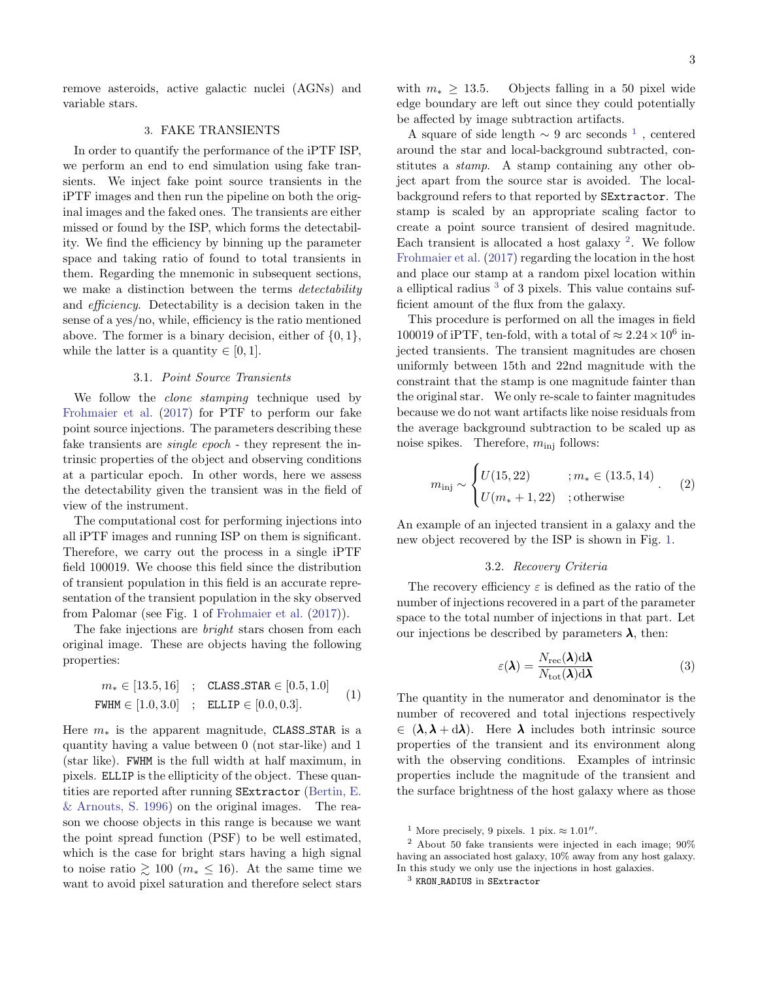remove asteroids, active galactic nuclei (AGNs) and variable stars.

# 3. FAKE TRANSIENTS

<span id="page-2-0"></span>In order to quantify the performance of the iPTF ISP, we perform an end to end simulation using fake transients. We inject fake point source transients in the iPTF images and then run the pipeline on both the original images and the faked ones. The transients are either missed or found by the ISP, which forms the detectability. We find the efficiency by binning up the parameter space and taking ratio of found to total transients in them. Regarding the mnemonic in subsequent sections, we make a distinction between the terms *detectability* and efficiency. Detectability is a decision taken in the sense of a yes/no, while, efficiency is the ratio mentioned above. The former is a binary decision, either of  $\{0, 1\}$ , while the latter is a quantity  $\in [0,1]$ .

#### 3.1. Point Source Transients

<span id="page-2-5"></span>We follow the *clone stamping* technique used by [Frohmaier et al.](#page-12-8) [\(2017\)](#page-12-8) for PTF to perform our fake point source injections. The parameters describing these fake transients are *single epoch* - they represent the intrinsic properties of the object and observing conditions at a particular epoch. In other words, here we assess the detectability given the transient was in the field of view of the instrument.

The computational cost for performing injections into all iPTF images and running ISP on them is significant. Therefore, we carry out the process in a single iPTF field 100019. We choose this field since the distribution of transient population in this field is an accurate representation of the transient population in the sky observed from Palomar (see Fig. 1 of [Frohmaier et al.](#page-12-8) [\(2017\)](#page-12-8)).

The fake injections are *bright* stars chosen from each original image. These are objects having the following properties:

$$
m_* \in [13.5, 16] \quad ; \quad \text{CLASS\_STAR} \in [0.5, 1.0]
$$
\n
$$
\text{FWHM} \in [1.0, 3.0] \quad ; \quad \text{ELLIP} \in [0.0, 0.3]. \tag{1}
$$

Here  $m_*$  is the apparent magnitude, CLASS\_STAR is a quantity having a value between 0 (not star-like) and 1 (star like). FWHM is the full width at half maximum, in pixels. ELLIP is the ellipticity of the object. These quantities are reported after running SExtractor [\(Bertin, E.](#page-11-4) [& Arnouts, S.](#page-11-4) [1996\)](#page-11-4) on the original images. The reason we choose objects in this range is because we want the point spread function (PSF) to be well estimated, which is the case for bright stars having a high signal to noise ratio  $\geq 100$  ( $m_* \leq 16$ ). At the same time we want to avoid pixel saturation and therefore select stars

with  $m_* \geq 13.5$ . Objects falling in a 50 pixel wide edge boundary are left out since they could potentially be affected by image subtraction artifacts.

A square of side length  $\sim 9$  arc seconds <sup>[1](#page-2-1)</sup>, centered around the star and local-background subtracted, constitutes a *stamp*. A stamp containing any other object apart from the source star is avoided. The localbackground refers to that reported by SExtractor. The stamp is scaled by an appropriate scaling factor to create a point source transient of desired magnitude. Each transient is allocated a host galaxy  $2$ . We follow [Frohmaier et al.](#page-12-8) [\(2017\)](#page-12-8) regarding the location in the host and place our stamp at a random pixel location within a elliptical radius <sup>[3](#page-2-3)</sup> of 3 pixels. This value contains sufficient amount of the flux from the galaxy.

This procedure is performed on all the images in field 100019 of iPTF, ten-fold, with a total of  $\approx 2.24 \times 10^6$  injected transients. The transient magnitudes are chosen uniformly between 15th and 22nd magnitude with the constraint that the stamp is one magnitude fainter than the original star. We only re-scale to fainter magnitudes because we do not want artifacts like noise residuals from the average background subtraction to be scaled up as noise spikes. Therefore,  $m_{\text{inj}}$  follows:

$$
m_{\rm inj} \sim \begin{cases} U(15, 22) & ; m_* \in (13.5, 14) \\ U(m_* + 1, 22) & ; \text{otherwise} \end{cases} (2)
$$

An example of an injected transient in a galaxy and the new object recovered by the ISP is shown in Fig. [1.](#page-3-1)

#### 3.2. Recovery Criteria

The recovery efficiency  $\varepsilon$  is defined as the ratio of the number of injections recovered in a part of the parameter space to the total number of injections in that part. Let our injections be described by parameters  $\lambda$ , then:

<span id="page-2-4"></span>
$$
\varepsilon(\lambda) = \frac{N_{\rm rec}(\lambda) d\lambda}{N_{\rm tot}(\lambda) d\lambda} \tag{3}
$$

The quantity in the numerator and denominator is the number of recovered and total injections respectively  $\in (\lambda, \lambda + d\lambda)$ . Here  $\lambda$  includes both intrinsic source properties of the transient and its environment along with the observing conditions. Examples of intrinsic properties include the magnitude of the transient and the surface brightness of the host galaxy where as those

<span id="page-2-2"></span><span id="page-2-1"></span><sup>&</sup>lt;sup>1</sup> More precisely, 9 pixels. 1 pix.  $\approx 1.01$ ".

<sup>2</sup> About 50 fake transients were injected in each image; 90% having an associated host galaxy, 10% away from any host galaxy. In this study we only use the injections in host galaxies.

<span id="page-2-3"></span><sup>3</sup> KRON RADIUS in SExtractor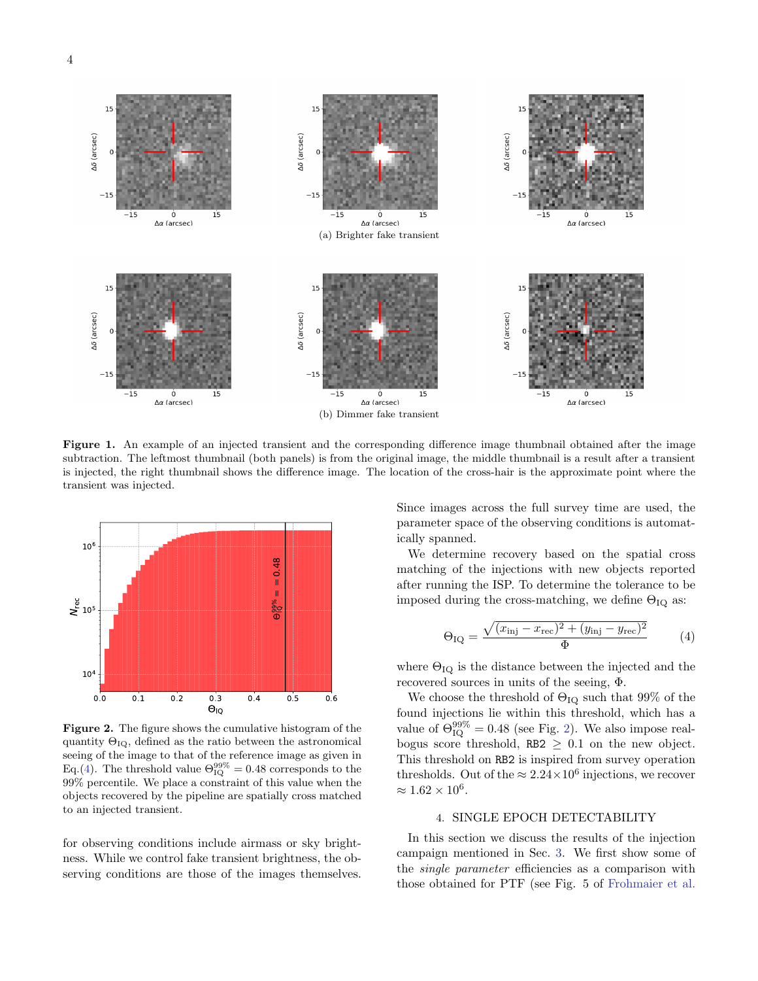

<span id="page-3-1"></span>Figure 1. An example of an injected transient and the corresponding difference image thumbnail obtained after the image subtraction. The leftmost thumbnail (both panels) is from the original image, the middle thumbnail is a result after a transient is injected, the right thumbnail shows the difference image. The location of the cross-hair is the approximate point where the transient was injected.



<span id="page-3-3"></span>Figure 2. The figure shows the cumulative histogram of the quantity  $\Theta_{IQ}$ , defined as the ratio between the astronomical seeing of the image to that of the reference image as given in Eq.[\(4\)](#page-3-2). The threshold value  $\Theta_{\text{IQ}}^{99\%} = 0.48$  corresponds to the 99% percentile. We place a constraint of this value when the objects recovered by the pipeline are spatially cross matched to an injected transient.

for observing conditions include airmass or sky brightness. While we control fake transient brightness, the observing conditions are those of the images themselves. Since images across the full survey time are used, the parameter space of the observing conditions is automatically spanned.

We determine recovery based on the spatial cross matching of the injections with new objects reported after running the ISP. To determine the tolerance to be imposed during the cross-matching, we define  $\Theta_{IQ}$  as:

<span id="page-3-2"></span>
$$
\Theta_{\text{IQ}} = \frac{\sqrt{(x_{\text{inj}} - x_{\text{rec}})^2 + (y_{\text{inj}} - y_{\text{rec}})^2}}{\Phi} \tag{4}
$$

where  $\Theta_{IQ}$  is the distance between the injected and the recovered sources in units of the seeing, Φ.

We choose the threshold of  $\Theta_{IQ}$  such that 99% of the found injections lie within this threshold, which has a value of  $\Theta_{\text{IQ}}^{99\%} = 0.48$  (see Fig. [2\)](#page-3-3). We also impose realbogus score threshold, RB2  $\geq$  0.1 on the new object. This threshold on RB2 is inspired from survey operation thresholds. Out of the  $\approx 2.24 \times 10^6$  injections, we recover  $\approx 1.62 \times 10^6$ .

### 4. SINGLE EPOCH DETECTABILITY

<span id="page-3-0"></span>In this section we discuss the results of the injection campaign mentioned in Sec. [3.](#page-2-0) We first show some of the single parameter efficiencies as a comparison with those obtained for PTF (see Fig. 5 of [Frohmaier et al.](#page-12-8)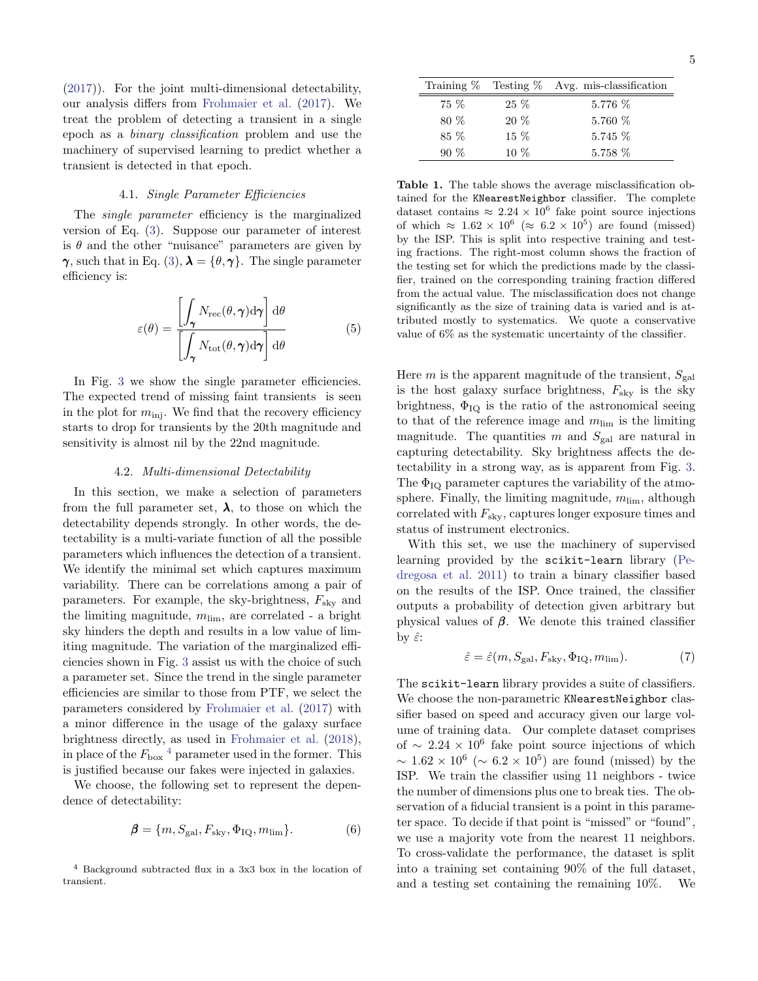[\(2017\)](#page-12-8)). For the joint multi-dimensional detectability, our analysis differs from [Frohmaier et al.](#page-12-8) [\(2017\)](#page-12-8). We treat the problem of detecting a transient in a single epoch as a binary classification problem and use the machinery of supervised learning to predict whether a transient is detected in that epoch.

#### 4.1. Single Parameter Efficiencies

The single parameter efficiency is the marginalized version of Eq. [\(3\)](#page-2-4). Suppose our parameter of interest is  $\theta$  and the other "nuisance" parameters are given by  $\gamma$ , such that in Eq. [\(3\)](#page-2-4),  $\lambda = {\theta, \gamma}$ . The single parameter efficiency is:

<span id="page-4-1"></span>
$$
\varepsilon(\theta) = \frac{\left[\int_{\gamma} N_{\rm rec}(\theta, \gamma) d\gamma\right] d\theta}{\left[\int_{\gamma} N_{\rm tot}(\theta, \gamma) d\gamma\right] d\theta} \tag{5}
$$

In Fig. [3](#page-5-0) we show the single parameter efficiencies. The expected trend of missing faint transients is seen in the plot for  $m_{\text{inj}}$ . We find that the recovery efficiency starts to drop for transients by the 20th magnitude and sensitivity is almost nil by the 22nd magnitude.

### 4.2. Multi-dimensional Detectability

<span id="page-4-5"></span>In this section, we make a selection of parameters from the full parameter set,  $\lambda$ , to those on which the detectability depends strongly. In other words, the detectability is a multi-variate function of all the possible parameters which influences the detection of a transient. We identify the minimal set which captures maximum variability. There can be correlations among a pair of parameters. For example, the sky-brightness,  $F_{\rm sky}$  and the limiting magnitude,  $m_{\text{lim}}$ , are correlated - a bright sky hinders the depth and results in a low value of limiting magnitude. The variation of the marginalized efficiencies shown in Fig. [3](#page-5-0) assist us with the choice of such a parameter set. Since the trend in the single parameter efficiencies are similar to those from PTF, we select the parameters considered by [Frohmaier et al.](#page-12-8) [\(2017\)](#page-12-8) with a minor difference in the usage of the galaxy surface brightness directly, as used in [Frohmaier et al.](#page-12-10) [\(2018\)](#page-12-10), in place of the  $F_{\text{box}}$ <sup>[4](#page-4-0)</sup> parameter used in the former. This is justified because our fakes were injected in galaxies.

We choose, the following set to represent the dependence of detectability:

<span id="page-4-3"></span>
$$
\mathbf{\beta} = \{m, S_{\text{gal}}, F_{\text{sky}}, \Phi_{\text{IQ}}, m_{\text{lim}}\}.
$$
 (6)

|        |        | Training $\%$ Testing $\%$ Avg. mis-classification |
|--------|--------|----------------------------------------------------|
| 75 %   | $25\%$ | 5.776 %                                            |
| 80 %   | $20\%$ | $5.760\%$                                          |
| 85 %   | $15\%$ | $5.745\%$                                          |
| $90\%$ | $10\%$ | 5.758 %                                            |

<span id="page-4-4"></span>Table 1. The table shows the average misclassification obtained for the KNearestNeighbor classifier. The complete dataset contains  $\approx 2.24 \times 10^6$  fake point source injections of which  $\approx 1.62 \times 10^6$  ( $\approx 6.2 \times 10^5$ ) are found (missed) by the ISP. This is split into respective training and testing fractions. The right-most column shows the fraction of the testing set for which the predictions made by the classifier, trained on the corresponding training fraction differed from the actual value. The misclassification does not change significantly as the size of training data is varied and is attributed mostly to systematics. We quote a conservative value of 6% as the systematic uncertainty of the classifier.

Here  $m$  is the apparent magnitude of the transient,  $S_{\text{gal}}$ is the host galaxy surface brightness,  $F_{\text{sky}}$  is the sky brightness,  $\Phi_{\text{IQ}}$  is the ratio of the astronomical seeing to that of the reference image and  $m_{\text{lim}}$  is the limiting magnitude. The quantities m and  $S_{\text{gal}}$  are natural in capturing detectability. Sky brightness affects the detectability in a strong way, as is apparent from Fig. [3.](#page-5-0) The  $\Phi_{\text{IO}}$  parameter captures the variability of the atmosphere. Finally, the limiting magnitude,  $m_{\text{lim}}$ , although correlated with  $F_{\text{sky}}$ , captures longer exposure times and status of instrument electronics.

With this set, we use the machinery of supervised learning provided by the scikit-learn library [\(Pe](#page-12-11)[dregosa et al.](#page-12-11) [2011\)](#page-12-11) to train a binary classifier based on the results of the ISP. Once trained, the classifier outputs a probability of detection given arbitrary but physical values of  $\beta$ . We denote this trained classifier by  $\hat{\varepsilon}$ :

<span id="page-4-2"></span>
$$
\hat{\varepsilon} = \hat{\varepsilon}(m, S_{\text{gal}}, F_{\text{sky}}, \Phi_{\text{IQ}}, m_{\text{lim}}). \tag{7}
$$

The scikit-learn library provides a suite of classifiers. We choose the non-parametric KNearestNeighbor classifier based on speed and accuracy given our large volume of training data. Our complete dataset comprises of  $\sim 2.24 \times 10^6$  fake point source injections of which  $\sim 1.62 \times 10^6$  ( $\sim 6.2 \times 10^5$ ) are found (missed) by the ISP. We train the classifier using 11 neighbors - twice the number of dimensions plus one to break ties. The observation of a fiducial transient is a point in this parameter space. To decide if that point is "missed" or "found", we use a majority vote from the nearest 11 neighbors. To cross-validate the performance, the dataset is split into a training set containing 90% of the full dataset, and a testing set containing the remaining 10%. We

<span id="page-4-0"></span><sup>4</sup> Background subtracted flux in a 3x3 box in the location of transient.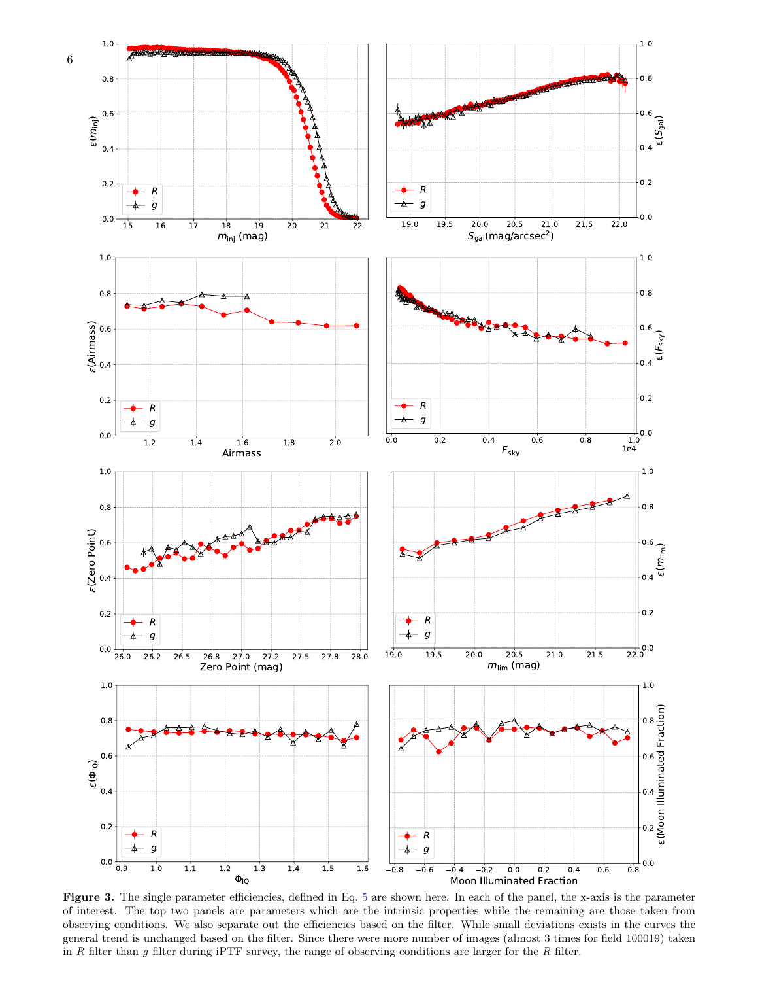

<span id="page-5-0"></span>Figure 3. The single parameter efficiencies, defined in Eq. [5](#page-4-1) are shown here. In each of the panel, the x-axis is the parameter of interest. The top two panels are parameters which are the intrinsic properties while the remaining are those taken from observing conditions. We also separate out the efficiencies based on the filter. While small deviations exists in the curves the general trend is unchanged based on the filter. Since there were more number of images (almost 3 times for field 100019) taken in R filter than g filter during iPTF survey, the range of observing conditions are larger for the R filter.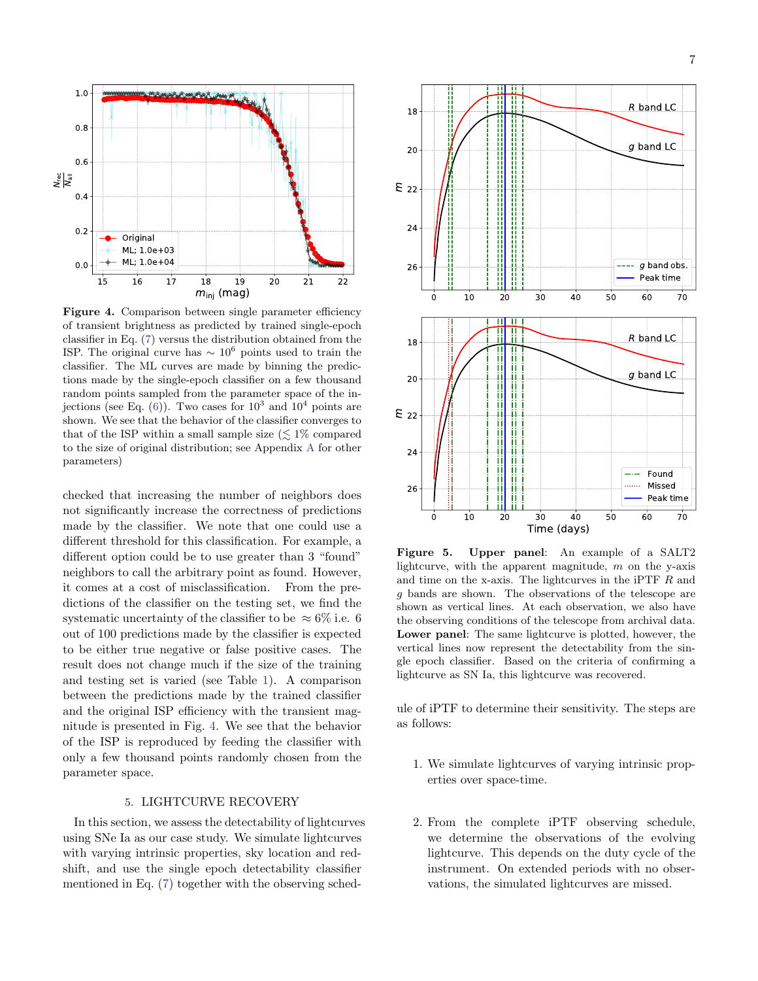

<span id="page-6-1"></span>Figure 4. Comparison between single parameter efficiency of transient brightness as predicted by trained single-epoch classifier in Eq. [\(7\)](#page-4-2) versus the distribution obtained from the ISP. The original curve has  $\sim 10^6$  points used to train the classifier. The ML curves are made by binning the predictions made by the single-epoch classifier on a few thousand random points sampled from the parameter space of the injections (see Eq.  $(6)$ ). Two cases for  $10^3$  and  $10^4$  points are shown. We see that the behavior of the classifier converges to that of the ISP within a small sample size  $(\leq 1\%$  compared to the size of original distribution; see Appendix [A](#page-10-0) for other parameters)

checked that increasing the number of neighbors does not significantly increase the correctness of predictions made by the classifier. We note that one could use a different threshold for this classification. For example, a different option could be to use greater than 3 "found" neighbors to call the arbitrary point as found. However, it comes at a cost of misclassification. From the predictions of the classifier on the testing set, we find the systematic uncertainty of the classifier to be  $\approx 6\%$  i.e. 6 out of 100 predictions made by the classifier is expected to be either true negative or false positive cases. The result does not change much if the size of the training and testing set is varied (see Table [1\)](#page-4-4). A comparison between the predictions made by the trained classifier and the original ISP efficiency with the transient magnitude is presented in Fig. [4.](#page-6-1) We see that the behavior of the ISP is reproduced by feeding the classifier with only a few thousand points randomly chosen from the parameter space.

## 5. LIGHTCURVE RECOVERY

<span id="page-6-0"></span>In this section, we assess the detectability of lightcurves using SNe Ia as our case study. We simulate lightcurves with varying intrinsic properties, sky location and redshift, and use the single epoch detectability classifier mentioned in Eq. [\(7\)](#page-4-2) together with the observing sched-



<span id="page-6-2"></span>Figure 5. Upper panel: An example of a SALT2 lightcurve, with the apparent magnitude,  $m$  on the y-axis and time on the x-axis. The lightcurves in the iPTF  $R$  and g bands are shown. The observations of the telescope are shown as vertical lines. At each observation, we also have the observing conditions of the telescope from archival data. Lower panel: The same lightcurve is plotted, however, the vertical lines now represent the detectability from the single epoch classifier. Based on the criteria of confirming a lightcurve as SN Ia, this lightcurve was recovered.

ule of iPTF to determine their sensitivity. The steps are as follows:

- 1. We simulate lightcurves of varying intrinsic properties over space-time.
- 2. From the complete iPTF observing schedule, we determine the observations of the evolving lightcurve. This depends on the duty cycle of the instrument. On extended periods with no observations, the simulated lightcurves are missed.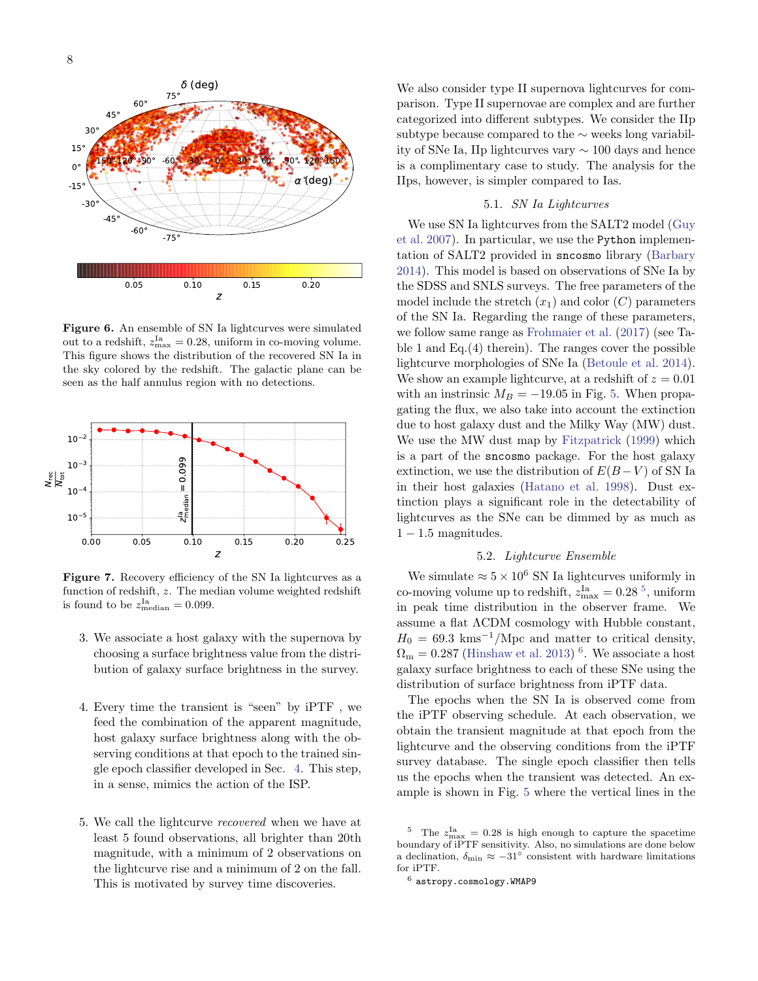

<span id="page-7-2"></span>Figure 6. An ensemble of SN Ia lightcurves were simulated out to a redshift,  $z_{\text{max}}^{\text{Ia}} = 0.28$ , uniform in co-moving volume. This figure shows the distribution of the recovered SN Ia in the sky colored by the redshift. The galactic plane can be seen as the half annulus region with no detections.



<span id="page-7-3"></span>Figure 7. Recovery efficiency of the SN Ia lightcurves as a function of redshift, z. The median volume weighted redshift is found to be  $z_{\text{median}}^{\text{Ia}} = 0.099$ .

- 3. We associate a host galaxy with the supernova by choosing a surface brightness value from the distribution of galaxy surface brightness in the survey.
- 4. Every time the transient is "seen" by iPTF , we feed the combination of the apparent magnitude, host galaxy surface brightness along with the observing conditions at that epoch to the trained single epoch classifier developed in Sec. [4.](#page-3-0) This step, in a sense, mimics the action of the ISP.
- 5. We call the lightcurve recovered when we have at least 5 found observations, all brighter than 20th magnitude, with a minimum of 2 observations on the lightcurve rise and a minimum of 2 on the fall. This is motivated by survey time discoveries.

We also consider type II supernova lightcurves for comparison. Type II supernovae are complex and are further categorized into different subtypes. We consider the IIp subtype because compared to the ∼ weeks long variability of SNe Ia, IIp lightcurves vary ∼ 100 days and hence is a complimentary case to study. The analysis for the IIps, however, is simpler compared to Ias.

# 5.1. SN Ia Lightcurves

<span id="page-7-5"></span>We use SN Ia lightcurves from the SALT2 model [\(Guy](#page-12-12) [et al.](#page-12-12) [2007\)](#page-12-12). In particular, we use the Python implementation of SALT2 provided in sncosmo library [\(Barbary](#page-11-5) [2014\)](#page-11-5). This model is based on observations of SNe Ia by the SDSS and SNLS surveys. The free parameters of the model include the stretch  $(x_1)$  and color  $(C)$  parameters of the SN Ia. Regarding the range of these parameters, we follow same range as [Frohmaier et al.](#page-12-8) [\(2017\)](#page-12-8) (see Table 1 and Eq.(4) therein). The ranges cover the possible lightcurve morphologies of SNe Ia [\(Betoule et al.](#page-11-6) [2014\)](#page-11-6). We show an example lightcurve, at a redshift of  $z = 0.01$ with an instrinsic  $M_B = -19.05$  in Fig. [5.](#page-6-2) When propagating the flux, we also take into account the extinction due to host galaxy dust and the Milky Way (MW) dust. We use the MW dust map by [Fitzpatrick](#page-12-13) [\(1999\)](#page-12-13) which is a part of the sncosmo package. For the host galaxy extinction, we use the distribution of  $E(B-V)$  of SN Ia in their host galaxies [\(Hatano et al.](#page-12-14) [1998\)](#page-12-14). Dust extinction plays a significant role in the detectability of lightcurves as the SNe can be dimmed by as much as  $1 - 1.5$  magnitudes.

## 5.2. Lightcurve Ensemble

<span id="page-7-4"></span>We simulate  $\approx 5 \times 10^6$  SN Ia lightcurves uniformly in co-moving volume up to redshift,  $z_{\text{max}}^{\text{Ia}} = 0.28$ <sup>[5](#page-7-0)</sup>, uniform in peak time distribution in the observer frame. We assume a flat ΛCDM cosmology with Hubble constant,  $H_0 = 69.3$  kms<sup>-1</sup>/Mpc and matter to critical density,  $\Omega_{\rm m} = 0.287$  [\(Hinshaw et al.](#page-12-15) [2013\)](#page-12-15)<sup>[6](#page-7-1)</sup>. We associate a host galaxy surface brightness to each of these SNe using the distribution of surface brightness from iPTF data.

The epochs when the SN Ia is observed come from the iPTF observing schedule. At each observation, we obtain the transient magnitude at that epoch from the lightcurve and the observing conditions from the iPTF survey database. The single epoch classifier then tells us the epochs when the transient was detected. An example is shown in Fig. [5](#page-6-2) where the vertical lines in the

<span id="page-7-0"></span><sup>&</sup>lt;sup>5</sup> The  $z_{\text{max}}^{\text{Ia}} = 0.28$  is high enough to capture the spacetime boundary of iPTF sensitivity. Also, no simulations are done below a declination,  $\delta_{\min} \approx -31^{\circ}$  consistent with hardware limitations for iPTF.

<span id="page-7-1"></span> $^6$  astropy.cosmology.WMAP9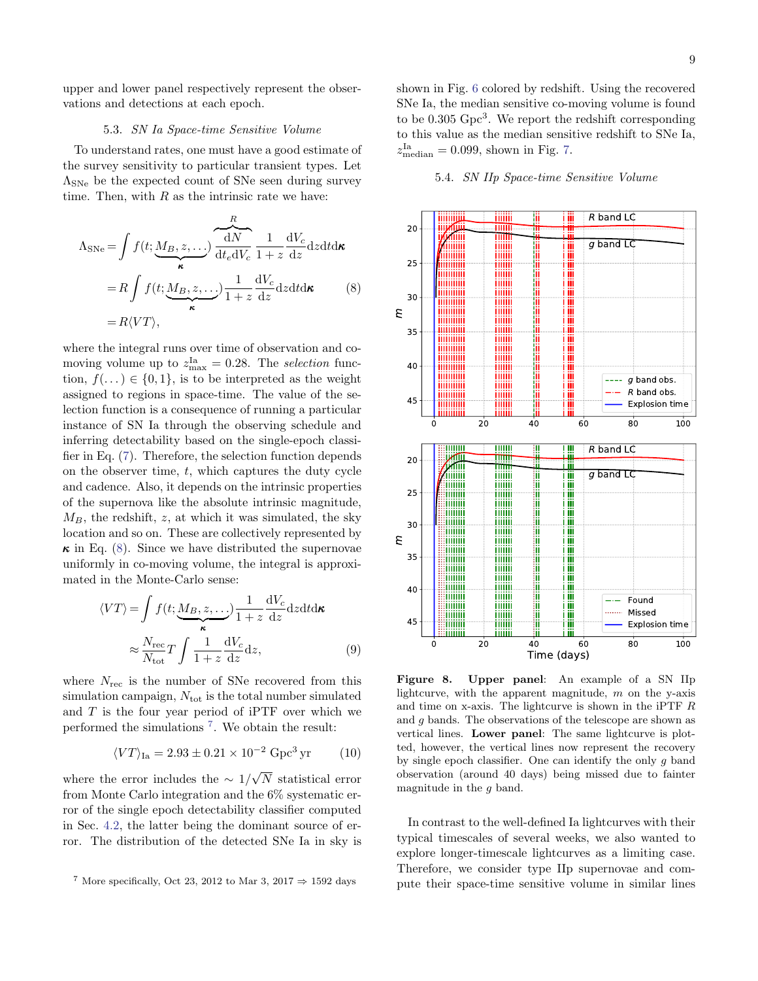upper and lower panel respectively represent the observations and detections at each epoch.

## 5.3. SN Ia Space-time Sensitive Volume

To understand rates, one must have a good estimate of the survey sensitivity to particular transient types. Let  $\Lambda_{\text{SNe}}$  be the expected count of SNe seen during survey time. Then, with  $R$  as the intrinsic rate we have:

<span id="page-8-0"></span>
$$
\Lambda_{\text{SNe}} = \int f(t; \underbrace{M_B, z, \dots}_{\kappa}) \frac{dN}{dt_e dV_c} \frac{1}{1+z} \frac{dV_c}{dz} dz dt d\kappa
$$
  
=  $R \int f(t; \underbrace{M_B, z, \dots}_{\kappa}) \frac{1}{1+z} \frac{dV_c}{dz} dz dt d\kappa$  (8)  
=  $R \langle VT \rangle$ ,

where the integral runs over time of observation and comoving volume up to  $z_{\text{max}}^{\text{Ia}} = 0.28$ . The selection function,  $f(\ldots) \in \{0,1\}$ , is to be interpreted as the weight assigned to regions in space-time. The value of the selection function is a consequence of running a particular instance of SN Ia through the observing schedule and inferring detectability based on the single-epoch classifier in Eq. [\(7\)](#page-4-2). Therefore, the selection function depends on the observer time,  $t$ , which captures the duty cycle and cadence. Also, it depends on the intrinsic properties of the supernova like the absolute intrinsic magnitude,  $M_B$ , the redshift, z, at which it was simulated, the sky location and so on. These are collectively represented by  $\kappa$  in Eq. [\(8\)](#page-8-0). Since we have distributed the supernovae uniformly in co-moving volume, the integral is approximated in the Monte-Carlo sense:

$$
\langle VT \rangle = \int f(t; \underbrace{M_B, z, \dots}_{\kappa}) \frac{1}{1+z} \frac{dV_c}{dz} dz dt d\kappa
$$

$$
\approx \frac{N_{\text{rec}}}{N_{\text{tot}}} T \int \frac{1}{1+z} \frac{dV_c}{dz} dz, \tag{9}
$$

where  $N_{\text{rec}}$  is the number of SNe recovered from this simulation campaign,  $N_{\text{tot}}$  is the total number simulated and  $T$  is the four year period of iPTF over which we performed the simulations [7](#page-8-1) . We obtain the result:

$$
\langle VT \rangle_{\text{Ia}} = 2.93 \pm 0.21 \times 10^{-2} \text{ Gpc}^3 \text{ yr} \tag{10}
$$

where the error includes the  $\sim 1/$ √ N statistical error from Monte Carlo integration and the 6% systematic error of the single epoch detectability classifier computed in Sec. [4.2,](#page-4-5) the latter being the dominant source of error. The distribution of the detected SNe Ia in sky is

shown in Fig. [6](#page-7-2) colored by redshift. Using the recovered SNe Ia, the median sensitive co-moving volume is found to be 0.305 Gpc<sup>3</sup>. We report the redshift corresponding to this value as the median sensitive redshift to SNe Ia,  $z_{\text{median}}^{\text{Ia}} = 0.099$ , shown in Fig. [7.](#page-7-3)

# 5.4. SN IIp Space-time Sensitive Volume



<span id="page-8-3"></span><span id="page-8-2"></span>Figure 8. Upper panel: An example of a SN IIp lightcurve, with the apparent magnitude,  $m$  on the y-axis and time on x-axis. The lightcurve is shown in the iPTF R and g bands. The observations of the telescope are shown as vertical lines. Lower panel: The same lightcurve is plotted, however, the vertical lines now represent the recovery by single epoch classifier. One can identify the only  $q$  band observation (around 40 days) being missed due to fainter magnitude in the  $q$  band.

In contrast to the well-defined Ia lightcurves with their typical timescales of several weeks, we also wanted to explore longer-timescale lightcurves as a limiting case. Therefore, we consider type IIp supernovae and compute their space-time sensitive volume in similar lines

<span id="page-8-1"></span><sup>&</sup>lt;sup>7</sup> More specifically, Oct 23, 2012 to Mar 3, 2017  $\Rightarrow$  1592 days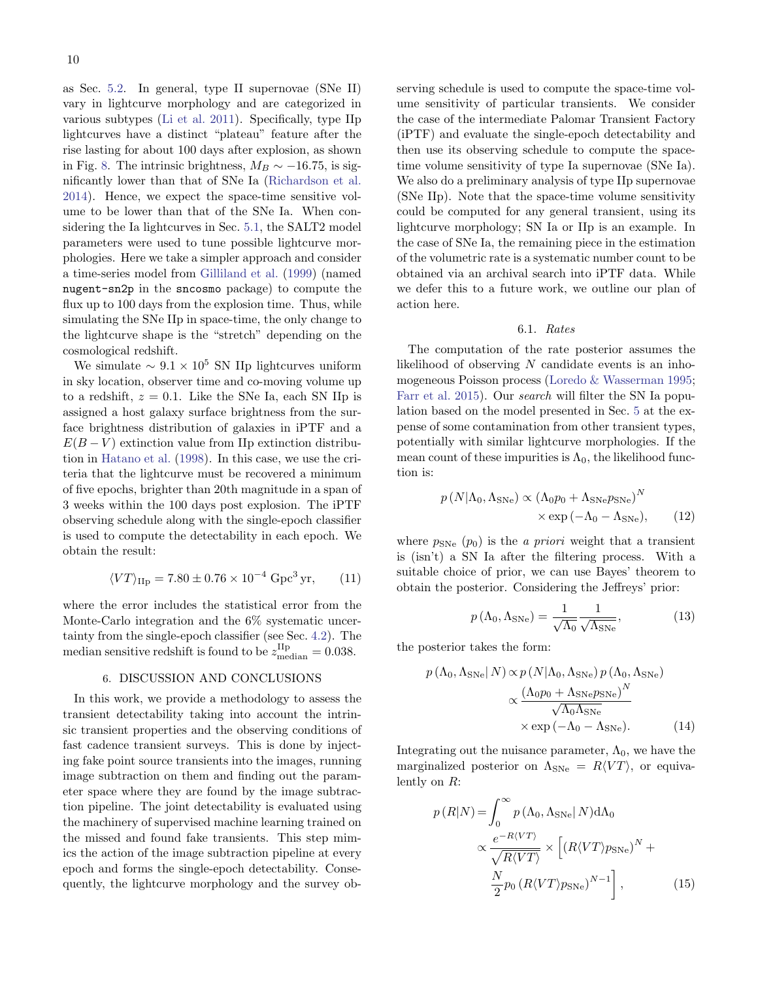as Sec. [5.2.](#page-7-4) In general, type II supernovae (SNe II) vary in lightcurve morphology and are categorized in various subtypes [\(Li et al.](#page-12-16) [2011\)](#page-12-16). Specifically, type IIp lightcurves have a distinct "plateau" feature after the rise lasting for about 100 days after explosion, as shown in Fig. [8.](#page-8-2) The intrinsic brightness,  $M_B \sim -16.75$ , is significantly lower than that of SNe Ia [\(Richardson et al.](#page-12-17) [2014\)](#page-12-17). Hence, we expect the space-time sensitive volume to be lower than that of the SNe Ia. When considering the Ia lightcurves in Sec. [5.1,](#page-7-5) the SALT2 model parameters were used to tune possible lightcurve morphologies. Here we take a simpler approach and consider a time-series model from [Gilliland et al.](#page-12-18) [\(1999\)](#page-12-18) (named nugent-sn2p in the sncosmo package) to compute the flux up to 100 days from the explosion time. Thus, while simulating the SNe IIp in space-time, the only change to the lightcurve shape is the "stretch" depending on the cosmological redshift.

We simulate  $\sim 9.1 \times 10^5$  SN IIp lightcurves uniform in sky location, observer time and co-moving volume up to a redshift,  $z = 0.1$ . Like the SNe Ia, each SN IIp is assigned a host galaxy surface brightness from the surface brightness distribution of galaxies in iPTF and a  $E(B-V)$  extinction value from IIp extinction distribution in [Hatano et al.](#page-12-14) [\(1998\)](#page-12-14). In this case, we use the criteria that the lightcurve must be recovered a minimum of five epochs, brighter than 20th magnitude in a span of 3 weeks within the 100 days post explosion. The iPTF observing schedule along with the single-epoch classifier is used to compute the detectability in each epoch. We obtain the result:

$$
\langle VT \rangle_{\text{IIp}} = 7.80 \pm 0.76 \times 10^{-4} \text{ Gpc}^3 \text{ yr}, \qquad (11)
$$

where the error includes the statistical error from the Monte-Carlo integration and the 6% systematic uncertainty from the single-epoch classifier (see Sec. [4.2\)](#page-4-5). The median sensitive redshift is found to be  $z_{\text{median}}^{\text{IIp}} = 0.038$ .

#### 6. DISCUSSION AND CONCLUSIONS

<span id="page-9-0"></span>In this work, we provide a methodology to assess the transient detectability taking into account the intrinsic transient properties and the observing conditions of fast cadence transient surveys. This is done by injecting fake point source transients into the images, running image subtraction on them and finding out the parameter space where they are found by the image subtraction pipeline. The joint detectability is evaluated using the machinery of supervised machine learning trained on the missed and found fake transients. This step mimics the action of the image subtraction pipeline at every epoch and forms the single-epoch detectability. Consequently, the lightcurve morphology and the survey observing schedule is used to compute the space-time volume sensitivity of particular transients. We consider the case of the intermediate Palomar Transient Factory (iPTF) and evaluate the single-epoch detectability and then use its observing schedule to compute the spacetime volume sensitivity of type Ia supernovae (SNe Ia). We also do a preliminary analysis of type IIp supernovae (SNe IIp). Note that the space-time volume sensitivity could be computed for any general transient, using its lightcurve morphology; SN Ia or IIp is an example. In the case of SNe Ia, the remaining piece in the estimation of the volumetric rate is a systematic number count to be obtained via an archival search into iPTF data. While we defer this to a future work, we outline our plan of action here.

### 6.1. Rates

The computation of the rate posterior assumes the likelihood of observing  $N$  candidate events is an inhomogeneous Poisson process [\(Loredo & Wasserman](#page-12-19) [1995;](#page-12-19) [Farr et al.](#page-11-7) [2015\)](#page-11-7). Our search will filter the SN Ia population based on the model presented in Sec. [5](#page-6-0) at the expense of some contamination from other transient types, potentially with similar lightcurve morphologies. If the mean count of these impurities is  $\Lambda_0$ , the likelihood function is:

$$
p(N|\Lambda_0, \Lambda_{\text{SNe}}) \propto (\Lambda_0 p_0 + \Lambda_{\text{SNe}} p_{\text{SNe}})^N
$$
  
 
$$
\times \exp(-\Lambda_0 - \Lambda_{\text{SNe}}), \qquad (12)
$$

where  $p_{SNe}$   $(p_0)$  is the *a priori* weight that a transient is (isn't) a SN Ia after the filtering process. With a suitable choice of prior, we can use Bayes' theorem to obtain the posterior. Considering the Jeffreys' prior:

$$
p(\Lambda_0, \Lambda_{\text{SNe}}) = \frac{1}{\sqrt{\Lambda_0}} \frac{1}{\sqrt{\Lambda_{\text{SNe}}}},\tag{13}
$$

the posterior takes the form:

<span id="page-9-1"></span>
$$
p(\Lambda_0, \Lambda_{\text{SNe}} | N) \propto p(N | \Lambda_0, \Lambda_{\text{SNe}}) p(\Lambda_0, \Lambda_{\text{SNe}})
$$

$$
\propto \frac{(\Lambda_0 p_0 + \Lambda_{\text{SNe}} p_{\text{SNe}})^N}{\sqrt{\Lambda_0 \Lambda_{\text{SNe}}}}
$$

$$
\times \exp(-\Lambda_0 - \Lambda_{\text{SNe}}). \tag{14}
$$

Integrating out the nuisance parameter,  $\Lambda_0$ , we have the marginalized posterior on  $\Lambda_{\text{SNe}} = R\langle VT \rangle$ , or equivalently on R:

<span id="page-9-2"></span>
$$
p(R|N) = \int_0^\infty p(\Lambda_0, \Lambda_{\text{SNe}} | N) d\Lambda_0
$$

$$
\propto \frac{e^{-R\langle VT \rangle}}{\sqrt{R\langle VT \rangle}} \times \left[ (R\langle VT \rangle p_{\text{SNe}})^N + \frac{N}{2} p_0 (R\langle VT \rangle p_{\text{SNe}})^{N-1} \right], \tag{15}
$$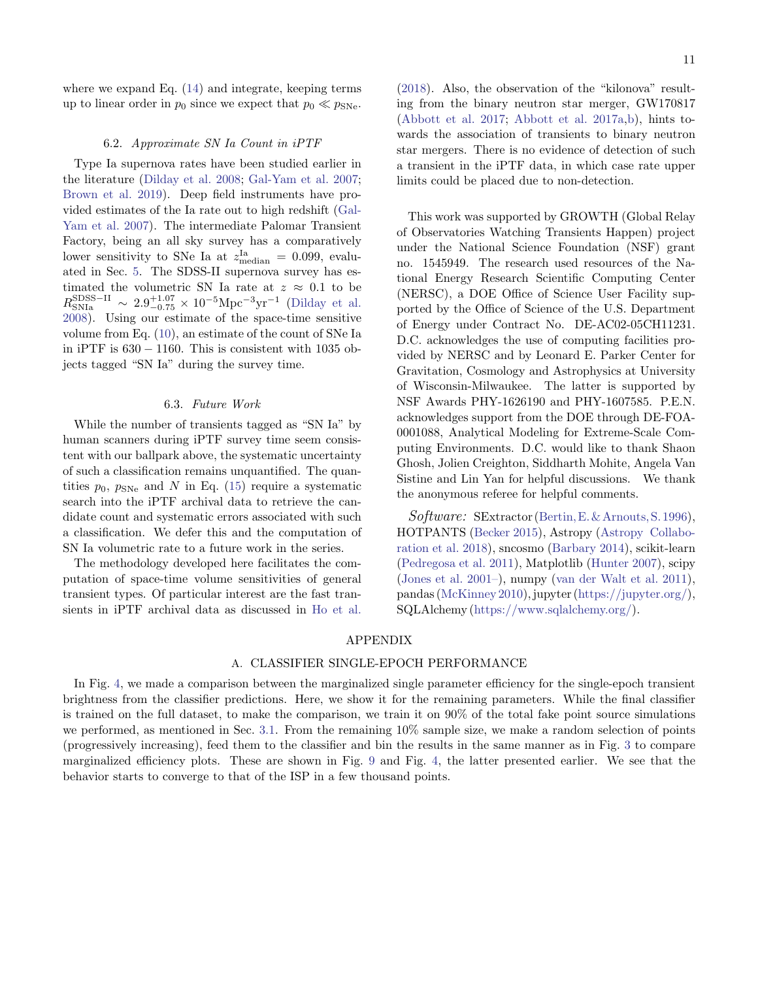where we expand Eq. [\(14\)](#page-9-1) and integrate, keeping terms up to linear order in  $p_0$  since we expect that  $p_0 \ll p_{\text{SNe}}$ .

### 6.2. Approximate SN Ia Count in iPTF

Type Ia supernova rates have been studied earlier in the literature [\(Dilday et al.](#page-11-8) [2008;](#page-11-8) [Gal-Yam et al.](#page-12-20) [2007;](#page-12-20) [Brown et al.](#page-11-9) [2019\)](#page-11-9). Deep field instruments have provided estimates of the Ia rate out to high redshift [\(Gal-](#page-12-20)[Yam et al.](#page-12-20) [2007\)](#page-12-20). The intermediate Palomar Transient Factory, being an all sky survey has a comparatively lower sensitivity to SNe Ia at  $z_{\text{median}}^{\text{Ia}} = 0.099$ , evaluated in Sec. [5.](#page-6-0) The SDSS-II supernova survey has estimated the volumetric SN Ia rate at  $z \approx 0.1$  to be  $R_{\rm SNIa}^{\rm SDSS-II} \sim 2.9^{+1.07}_{-0.75} \times 10^{-5} \rm Mpc^{-3}yr^{-1}$  [\(Dilday et al.](#page-11-8) [2008\)](#page-11-8). Using our estimate of the space-time sensitive volume from Eq. [\(10\)](#page-8-3), an estimate of the count of SNe Ia in iPTF is  $630 - 1160$ . This is consistent with 1035 objects tagged "SN Ia" during the survey time.

#### 6.3. Future Work

While the number of transients tagged as "SN Ia" by human scanners during iPTF survey time seem consistent with our ballpark above, the systematic uncertainty of such a classification remains unquantified. The quantities  $p_0$ ,  $p_{SN_e}$  and N in Eq. [\(15\)](#page-9-2) require a systematic search into the iPTF archival data to retrieve the candidate count and systematic errors associated with such a classification. We defer this and the computation of SN Ia volumetric rate to a future work in the series.

The methodology developed here facilitates the computation of space-time volume sensitivities of general transient types. Of particular interest are the fast transients in iPTF archival data as discussed in [Ho et al.](#page-12-21) [\(2018\)](#page-12-21). Also, the observation of the "kilonova" resulting from the binary neutron star merger, GW170817 [\(Abbott et al.](#page-11-10) [2017;](#page-11-10) [Abbott et al.](#page-11-11) [2017a,](#page-11-11)[b\)](#page-11-12), hints towards the association of transients to binary neutron star mergers. There is no evidence of detection of such a transient in the iPTF data, in which case rate upper limits could be placed due to non-detection.

This work was supported by GROWTH (Global Relay of Observatories Watching Transients Happen) project under the National Science Foundation (NSF) grant no. 1545949. The research used resources of the National Energy Research Scientific Computing Center (NERSC), a DOE Office of Science User Facility supported by the Office of Science of the U.S. Department of Energy under Contract No. DE-AC02-05CH11231. D.C. acknowledges the use of computing facilities provided by NERSC and by Leonard E. Parker Center for Gravitation, Cosmology and Astrophysics at University of Wisconsin-Milwaukee. The latter is supported by NSF Awards PHY-1626190 and PHY-1607585. P.E.N. acknowledges support from the DOE through DE-FOA-0001088, Analytical Modeling for Extreme-Scale Computing Environments. D.C. would like to thank Shaon Ghosh, Jolien Creighton, Siddharth Mohite, Angela Van Sistine and Lin Yan for helpful discussions. We thank the anonymous referee for helpful comments.

Software: SExtractor (Bertin, E. & Arnouts, S. 1996), HOTPANTS [\(Becker](#page-11-2) [2015\)](#page-11-2), Astropy [\(Astropy Collabo](#page-11-13)[ration et al.](#page-11-13) [2018\)](#page-11-13), sncosmo [\(Barbary](#page-11-5) [2014\)](#page-11-5), scikit-learn [\(Pedregosa et al.](#page-12-11) [2011\)](#page-12-11), Matplotlib [\(Hunter](#page-12-22) [2007\)](#page-12-22), scipy [\(Jones et al.](#page-12-23) [2001–\)](#page-12-23), numpy [\(van der Walt et al.](#page-12-24) [2011\)](#page-12-24), pandas [\(McKinney](#page-12-25) [2010\)](#page-12-25), jupyter [\(https://jupyter.org/\)](https://jupyter.org/), SQLAlchemy [\(https://www.sqlalchemy.org/\)](https://www.sqlalchemy.org/).

# APPENDIX

### A. CLASSIFIER SINGLE-EPOCH PERFORMANCE

<span id="page-10-0"></span>In Fig. [4,](#page-6-1) we made a comparison between the marginalized single parameter efficiency for the single-epoch transient brightness from the classifier predictions. Here, we show it for the remaining parameters. While the final classifier is trained on the full dataset, to make the comparison, we train it on 90% of the total fake point source simulations we performed, as mentioned in Sec. [3.1.](#page-2-5) From the remaining 10% sample size, we make a random selection of points (progressively increasing), feed them to the classifier and bin the results in the same manner as in Fig. [3](#page-5-0) to compare marginalized efficiency plots. These are shown in Fig. [9](#page-11-14) and Fig. [4,](#page-6-1) the latter presented earlier. We see that the behavior starts to converge to that of the ISP in a few thousand points.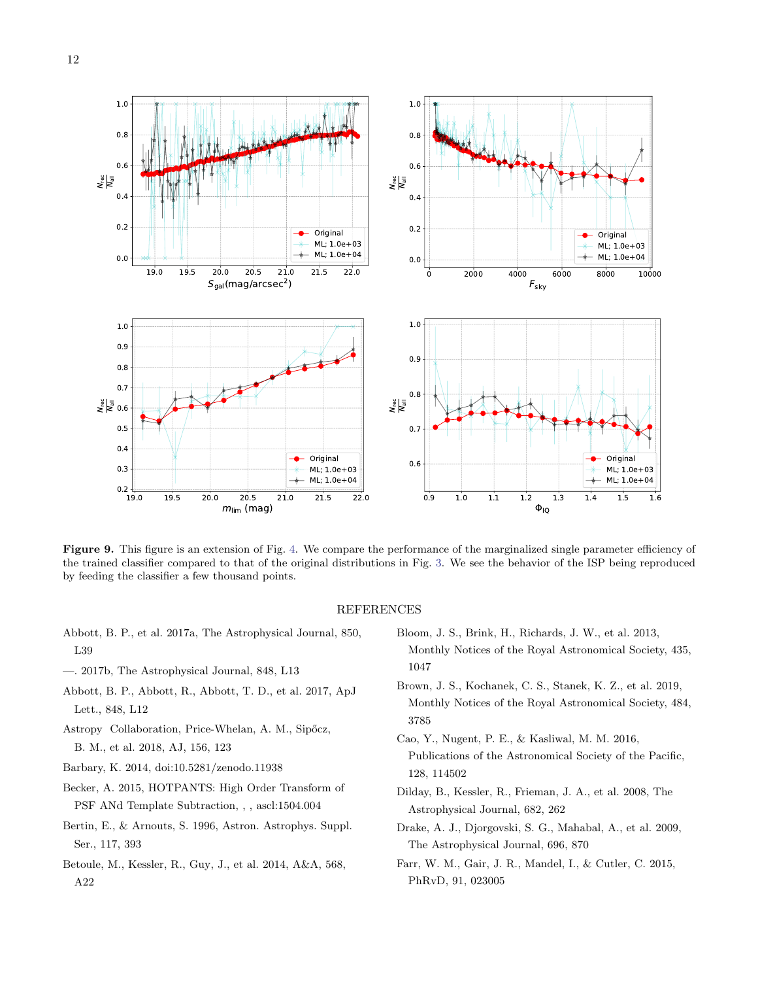

<span id="page-11-14"></span>Figure 9. This figure is an extension of Fig. [4.](#page-6-1) We compare the performance of the marginalized single parameter efficiency of the trained classifier compared to that of the original distributions in Fig. [3.](#page-5-0) We see the behavior of the ISP being reproduced by feeding the classifier a few thousand points.

# REFERENCES

- <span id="page-11-11"></span>Abbott, B. P., et al. 2017a, The Astrophysical Journal, 850, L39
- <span id="page-11-12"></span>—. 2017b, The Astrophysical Journal, 848, L13
- <span id="page-11-10"></span>Abbott, B. P., Abbott, R., Abbott, T. D., et al. 2017, ApJ Lett., 848, L12
- <span id="page-11-13"></span>Astropy Collaboration, Price-Whelan, A. M., Sipőcz, B. M., et al. 2018, AJ, 156, 123
- <span id="page-11-5"></span>Barbary, K. 2014, doi:10.5281/zenodo.11938
- <span id="page-11-2"></span>Becker, A. 2015, HOTPANTS: High Order Transform of PSF ANd Template Subtraction, , , ascl:1504.004
- <span id="page-11-4"></span>Bertin, E., & Arnouts, S. 1996, Astron. Astrophys. Suppl. Ser., 117, 393
- <span id="page-11-6"></span>Betoule, M., Kessler, R., Guy, J., et al. 2014, A&A, 568, A22
- <span id="page-11-3"></span>Bloom, J. S., Brink, H., Richards, J. W., et al. 2013, Monthly Notices of the Royal Astronomical Society, 435, 1047
- <span id="page-11-9"></span>Brown, J. S., Kochanek, C. S., Stanek, K. Z., et al. 2019, Monthly Notices of the Royal Astronomical Society, 484, 3785
- <span id="page-11-1"></span>Cao, Y., Nugent, P. E., & Kasliwal, M. M. 2016, Publications of the Astronomical Society of the Pacific, 128, 114502
- <span id="page-11-8"></span>Dilday, B., Kessler, R., Frieman, J. A., et al. 2008, The Astrophysical Journal, 682, 262
- <span id="page-11-0"></span>Drake, A. J., Djorgovski, S. G., Mahabal, A., et al. 2009, The Astrophysical Journal, 696, 870
- <span id="page-11-7"></span>Farr, W. M., Gair, J. R., Mandel, I., & Cutler, C. 2015, PhRvD, 91, 023005